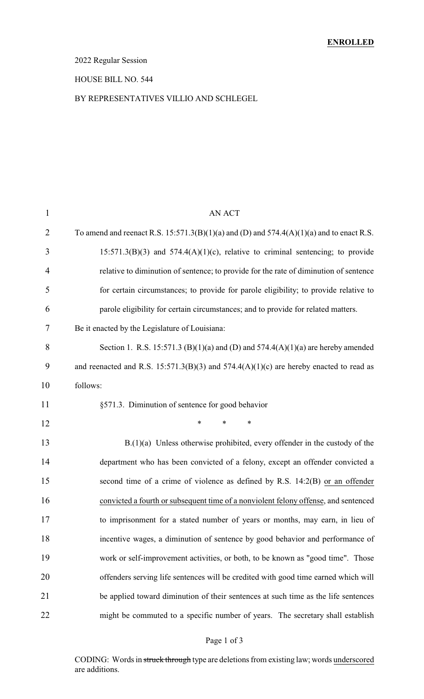### 2022 Regular Session

### HOUSE BILL NO. 544

### BY REPRESENTATIVES VILLIO AND SCHLEGEL

| $\mathbf{1}$   | AN ACT                                                                                       |
|----------------|----------------------------------------------------------------------------------------------|
| $\overline{2}$ | To amend and reenact R.S. $15:571.3(B)(1)(a)$ and (D) and $574.4(A)(1)(a)$ and to enact R.S. |
| 3              | $15:571.3(B)(3)$ and $574.4(A)(1)(c)$ , relative to criminal sentencing; to provide          |
| $\overline{4}$ | relative to diminution of sentence; to provide for the rate of diminution of sentence        |
| 5              | for certain circumstances; to provide for parole eligibility; to provide relative to         |
| 6              | parole eligibility for certain circumstances; and to provide for related matters.            |
| 7              | Be it enacted by the Legislature of Louisiana:                                               |
| 8              | Section 1. R.S. 15:571.3 (B)(1)(a) and (D) and 574.4(A)(1)(a) are hereby amended             |
| 9              | and reenacted and R.S. $15:571.3(B)(3)$ and $574.4(A)(1)(c)$ are hereby enacted to read as   |
| 10             | follows:                                                                                     |
| 11             | §571.3. Diminution of sentence for good behavior                                             |
| 12             | *<br>$\ast$<br>∗                                                                             |
| 13             | $B(1)(a)$ Unless otherwise prohibited, every offender in the custody of the                  |
| 14             | department who has been convicted of a felony, except an offender convicted a                |
| 15             | second time of a crime of violence as defined by R.S. 14:2(B) or an offender                 |
| 16             | convicted a fourth or subsequent time of a nonviolent felony offense, and sentenced          |
| 17             | to imprisonment for a stated number of years or months, may earn, in lieu of                 |
| 18             | incentive wages, a diminution of sentence by good behavior and performance of                |
| 19             | work or self-improvement activities, or both, to be known as "good time". Those              |
| 20             | offenders serving life sentences will be credited with good time earned which will           |
| 21             | be applied toward diminution of their sentences at such time as the life sentences           |
| 22             | might be commuted to a specific number of years. The secretary shall establish               |

### Page 1 of 3

CODING: Words in struck through type are deletions from existing law; words underscored are additions.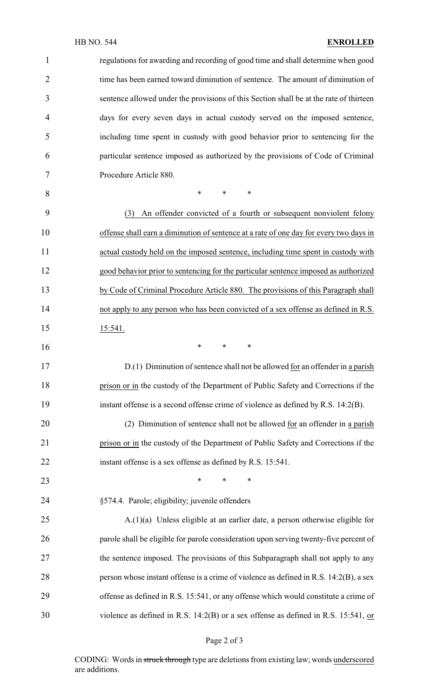| 1              | regulations for awarding and recording of good time and shall determine when good      |
|----------------|----------------------------------------------------------------------------------------|
| $\overline{2}$ | time has been earned toward diminution of sentence. The amount of diminution of        |
| 3              | sentence allowed under the provisions of this Section shall be at the rate of thirteen |
| 4              | days for every seven days in actual custody served on the imposed sentence,            |
| 5              | including time spent in custody with good behavior prior to sentencing for the         |
| 6              | particular sentence imposed as authorized by the provisions of Code of Criminal        |
| 7              | Procedure Article 880.                                                                 |
| 8              | $\ast$<br>*<br>∗                                                                       |
| 9              | An offender convicted of a fourth or subsequent nonviolent felony<br>(3)               |
| 10             | offense shall earn a diminution of sentence at a rate of one day for every two days in |
| 11             | actual custody held on the imposed sentence, including time spent in custody with      |
| 12             | good behavior prior to sentencing for the particular sentence imposed as authorized    |
| 13             | by Code of Criminal Procedure Article 880. The provisions of this Paragraph shall      |
| 14             | not apply to any person who has been convicted of a sex offense as defined in R.S.     |
| 15             | 15:541.                                                                                |
| 16             | $\ast$<br>*<br>∗                                                                       |
| 17             | D.(1) Diminution of sentence shall not be allowed for an offender in a parish          |
| 18             | prison or in the custody of the Department of Public Safety and Corrections if the     |
| 19             | instant offense is a second offense crime of violence as defined by R.S. 14:2(B).      |
| 20             | (2) Diminution of sentence shall not be allowed for an offender in a parish            |
| 21             | prison or in the custody of the Department of Public Safety and Corrections if the     |
| 22             | instant offense is a sex offense as defined by R.S. 15:541.                            |
| 23             | *<br>*<br>∗                                                                            |
| 24             | §574.4. Parole; eligibility; juvenile offenders                                        |
| 25             | $A(1)(a)$ Unless eligible at an earlier date, a person otherwise eligible for          |
| 26             | parole shall be eligible for parole consideration upon serving twenty-five percent of  |
| 27             | the sentence imposed. The provisions of this Subparagraph shall not apply to any       |
| 28             | person whose instant offense is a crime of violence as defined in R.S. 14:2(B), a sex  |
| 29             | offense as defined in R.S. 15:541, or any offense which would constitute a crime of    |
|                | violence as defined in R.S. 14:2(B) or a sex offense as defined in R.S. 15:541, or     |

Page 2 of 3

CODING: Words in struck through type are deletions from existing law; words underscored are additions.